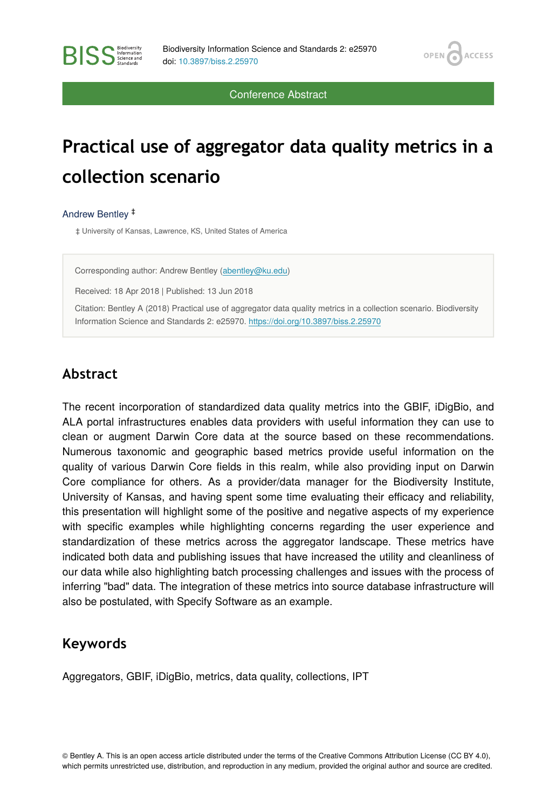OPEN<sub>C</sub>

**ACCESS** 

Conference Abstract

# **Practical use of aggregator data quality metrics in a collection scenario**

Andrew Bentley ‡

**RISS** Science and

‡ University of Kansas, Lawrence, KS, United States of America

Corresponding author: Andrew Bentley [\(abentley@ku.edu\)](mailto:abentley@ku.edu)

Received: 18 Apr 2018 | Published: 13 Jun 2018

Citation: Bentley A (2018) Practical use of aggregator data quality metrics in a collection scenario. Biodiversity Information Science and Standards 2: e25970.<https://doi.org/10.3897/biss.2.25970>

#### **Abstract**

The recent incorporation of standardized data quality metrics into the GBIF, iDigBio, and ALA portal infrastructures enables data providers with useful information they can use to clean or augment Darwin Core data at the source based on these recommendations. Numerous taxonomic and geographic based metrics provide useful information on the quality of various Darwin Core fields in this realm, while also providing input on Darwin Core compliance for others. As a provider/data manager for the Biodiversity Institute, University of Kansas, and having spent some time evaluating their efficacy and reliability, this presentation will highlight some of the positive and negative aspects of my experience with specific examples while highlighting concerns regarding the user experience and standardization of these metrics across the aggregator landscape. These metrics have indicated both data and publishing issues that have increased the utility and cleanliness of our data while also highlighting batch processing challenges and issues with the process of inferring "bad" data. The integration of these metrics into source database infrastructure will also be postulated, with Specify Software as an example.

#### **Keywords**

Aggregators, GBIF, iDigBio, metrics, data quality, collections, IPT